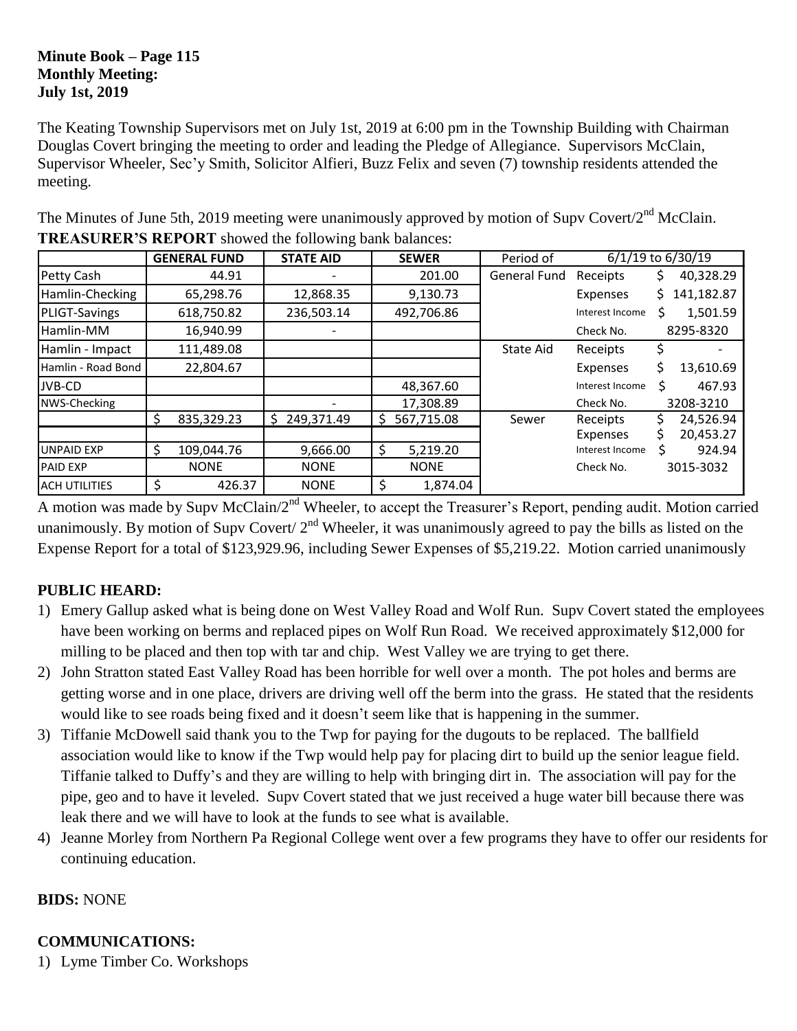#### **Minute Book – Page 115 Monthly Meeting: July 1st, 2019**

The Keating Township Supervisors met on July 1st, 2019 at 6:00 pm in the Township Building with Chairman Douglas Covert bringing the meeting to order and leading the Pledge of Allegiance. Supervisors McClain, Supervisor Wheeler, Sec'y Smith, Solicitor Alfieri, Buzz Felix and seven (7) township residents attended the meeting.

|                      |     | <b>GENERAL FUND</b> | <b>STATE AID</b> |     | <b>SEWER</b> | Period of           | 6/1/19 to 6/30/19 |    |            |
|----------------------|-----|---------------------|------------------|-----|--------------|---------------------|-------------------|----|------------|
| Petty Cash           |     | 44.91               |                  |     | 201.00       | <b>General Fund</b> | Receipts          | S  | 40,328.29  |
| Hamlin-Checking      |     | 65,298.76           | 12,868.35        |     | 9,130.73     |                     | Expenses          | S. | 141,182.87 |
| PLIGT-Savings        |     | 618,750.82          | 236,503.14       |     | 492,706.86   |                     | Interest Income   | Ś  | 1,501.59   |
| Hamlin-MM            |     | 16,940.99           |                  |     |              |                     | Check No.         |    | 8295-8320  |
| Hamlin - Impact      |     | 111,489.08          |                  |     |              | <b>State Aid</b>    | Receipts          |    |            |
| Hamlin - Road Bond   |     | 22,804.67           |                  |     |              |                     | Expenses          | Ś  | 13,610.69  |
| JVB-CD               |     |                     |                  |     | 48,367.60    |                     | Interest Income   | Ś  | 467.93     |
| NWS-Checking         |     |                     |                  |     | 17,308.89    |                     | Check No.         |    | 3208-3210  |
|                      | S   | 835,329.23          | 249,371.49<br>Ŝ. | S   | 567,715.08   | Sewer               | Receipts          |    | 24,526.94  |
|                      |     |                     |                  |     |              |                     | Expenses          |    | 20,453.27  |
| <b>UNPAID EXP</b>    | \$. | 109,044.76          | 9,666.00         | \$, | 5,219.20     |                     | Interest Income   |    | 924.94     |
| <b>PAID EXP</b>      |     | <b>NONE</b>         | <b>NONE</b>      |     | <b>NONE</b>  |                     | Check No.         |    | 3015-3032  |
| <b>ACH UTILITIES</b> | Ś   | 426.37              | <b>NONE</b>      | \$, | 1,874.04     |                     |                   |    |            |

The Minutes of June 5th, 2019 meeting were unanimously approved by motion of Supv Covert/2<sup>nd</sup> McClain. **TREASURER'S REPORT** showed the following bank balances:

A motion was made by Supv McClain/2<sup>nd</sup> Wheeler, to accept the Treasurer's Report, pending audit. Motion carried unanimously. By motion of Supv Covert/  $2<sup>nd</sup>$  Wheeler, it was unanimously agreed to pay the bills as listed on the Expense Report for a total of \$123,929.96, including Sewer Expenses of \$5,219.22. Motion carried unanimously

# **PUBLIC HEARD:**

- 1) Emery Gallup asked what is being done on West Valley Road and Wolf Run. Supv Covert stated the employees have been working on berms and replaced pipes on Wolf Run Road. We received approximately \$12,000 for milling to be placed and then top with tar and chip. West Valley we are trying to get there.
- 2) John Stratton stated East Valley Road has been horrible for well over a month. The pot holes and berms are getting worse and in one place, drivers are driving well off the berm into the grass. He stated that the residents would like to see roads being fixed and it doesn't seem like that is happening in the summer.
- 3) Tiffanie McDowell said thank you to the Twp for paying for the dugouts to be replaced. The ballfield association would like to know if the Twp would help pay for placing dirt to build up the senior league field. Tiffanie talked to Duffy's and they are willing to help with bringing dirt in. The association will pay for the pipe, geo and to have it leveled. Supv Covert stated that we just received a huge water bill because there was leak there and we will have to look at the funds to see what is available.
- 4) Jeanne Morley from Northern Pa Regional College went over a few programs they have to offer our residents for continuing education.

## **BIDS:** NONE

# **COMMUNICATIONS:**

1) Lyme Timber Co. Workshops